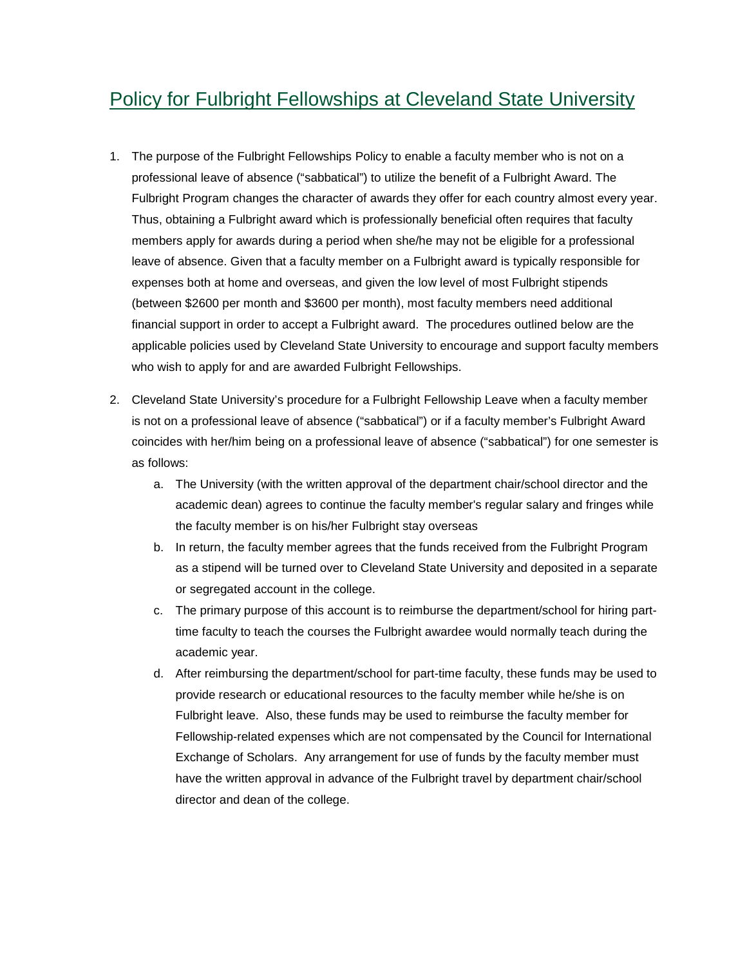## Policy for Fulbright Fellowships at Cleveland State University

- 1. The purpose of the Fulbright Fellowships Policy to enable a faculty member who is not on a professional leave of absence ("sabbatical") to utilize the benefit of a Fulbright Award. The Fulbright Program changes the character of awards they offer for each country almost every year. Thus, obtaining a Fulbright award which is professionally beneficial often requires that faculty members apply for awards during a period when she/he may not be eligible for a professional leave of absence. Given that a faculty member on a Fulbright award is typically responsible for expenses both at home and overseas, and given the low level of most Fulbright stipends (between \$2600 per month and \$3600 per month), most faculty members need additional financial support in order to accept a Fulbright award. The procedures outlined below are the applicable policies used by Cleveland State University to encourage and support faculty members who wish to apply for and are awarded Fulbright Fellowships.
- 2. Cleveland State University's procedure for a Fulbright Fellowship Leave when a faculty member is not on a professional leave of absence ("sabbatical") or if a faculty member's Fulbright Award coincides with her/him being on a professional leave of absence ("sabbatical") for one semester is as follows:
	- a. The University (with the written approval of the department chair/school director and the academic dean) agrees to continue the faculty member's regular salary and fringes while the faculty member is on his/her Fulbright stay overseas
	- b. In return, the faculty member agrees that the funds received from the Fulbright Program as a stipend will be turned over to Cleveland State University and deposited in a separate or segregated account in the college.
	- c. The primary purpose of this account is to reimburse the department/school for hiring parttime faculty to teach the courses the Fulbright awardee would normally teach during the academic year.
	- d. After reimbursing the department/school for part-time faculty, these funds may be used to provide research or educational resources to the faculty member while he/she is on Fulbright leave. Also, these funds may be used to reimburse the faculty member for Fellowship-related expenses which are not compensated by the Council for International Exchange of Scholars. Any arrangement for use of funds by the faculty member must have the written approval in advance of the Fulbright travel by department chair/school director and dean of the college.